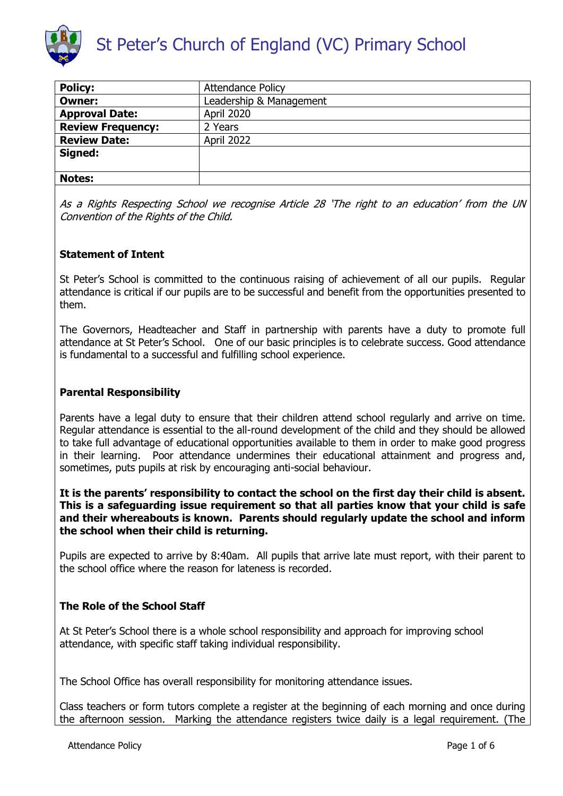

| <b>Policy:</b>           | <b>Attendance Policy</b> |
|--------------------------|--------------------------|
| <b>Owner:</b>            | Leadership & Management  |
| <b>Approval Date:</b>    | <b>April 2020</b>        |
| <b>Review Frequency:</b> | 2 Years                  |
| <b>Review Date:</b>      | April 2022               |
| Signed:                  |                          |
|                          |                          |
| <b>Notes:</b>            |                          |

As a Rights Respecting School we recognise Article 28 'The right to an education' from the UN Convention of the Rights of the Child.

## **Statement of Intent**

St Peter's School is committed to the continuous raising of achievement of all our pupils. Regular attendance is critical if our pupils are to be successful and benefit from the opportunities presented to them.

The Governors, Headteacher and Staff in partnership with parents have a duty to promote full attendance at St Peter's School. One of our basic principles is to celebrate success. Good attendance is fundamental to a successful and fulfilling school experience.

### **Parental Responsibility**

Parents have a legal duty to ensure that their children attend school regularly and arrive on time. Regular attendance is essential to the all-round development of the child and they should be allowed to take full advantage of educational opportunities available to them in order to make good progress in their learning. Poor attendance undermines their educational attainment and progress and, sometimes, puts pupils at risk by encouraging anti-social behaviour.

**It is the parents' responsibility to contact the school on the first day their child is absent. This is a safeguarding issue requirement so that all parties know that your child is safe and their whereabouts is known. Parents should regularly update the school and inform the school when their child is returning.**

Pupils are expected to arrive by 8:40am. All pupils that arrive late must report, with their parent to the school office where the reason for lateness is recorded.

# **The Role of the School Staff**

At St Peter's School there is a whole school responsibility and approach for improving school attendance, with specific staff taking individual responsibility.

The School Office has overall responsibility for monitoring attendance issues.

Class teachers or form tutors complete a register at the beginning of each morning and once during the afternoon session. Marking the attendance registers twice daily is a legal requirement. (The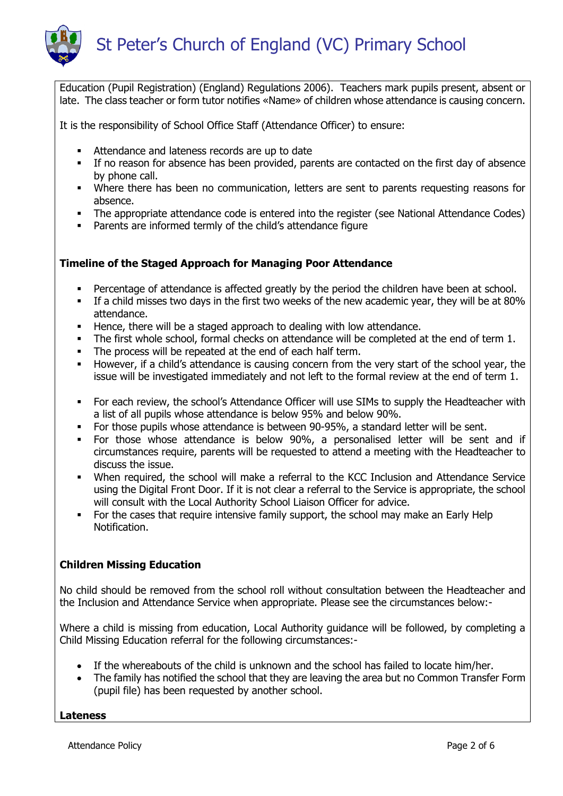

Education (Pupil Registration) (England) Regulations 2006). Teachers mark pupils present, absent or late. The class teacher or form tutor notifies «Name» of children whose attendance is causing concern.

It is the responsibility of School Office Staff (Attendance Officer) to ensure:

- Attendance and lateness records are up to date
- If no reason for absence has been provided, parents are contacted on the first day of absence by phone call.
- Where there has been no communication, letters are sent to parents requesting reasons for absence.
- The appropriate attendance code is entered into the register (see National Attendance Codes)
- Parents are informed termly of the child's attendance figure

## **Timeline of the Staged Approach for Managing Poor Attendance**

- Percentage of attendance is affected greatly by the period the children have been at school.
- If a child misses two days in the first two weeks of the new academic year, they will be at 80% attendance.
- Hence, there will be a staged approach to dealing with low attendance.
- The first whole school, formal checks on attendance will be completed at the end of term 1.
- The process will be repeated at the end of each half term.
- However, if a child's attendance is causing concern from the very start of the school year, the issue will be investigated immediately and not left to the formal review at the end of term 1.
- For each review, the school's Attendance Officer will use SIMs to supply the Headteacher with a list of all pupils whose attendance is below 95% and below 90%.
- For those pupils whose attendance is between 90-95%, a standard letter will be sent.
- For those whose attendance is below 90%, a personalised letter will be sent and if circumstances require, parents will be requested to attend a meeting with the Headteacher to discuss the issue.
- When required, the school will make a referral to the KCC Inclusion and Attendance Service using the Digital Front Door. If it is not clear a referral to the Service is appropriate, the school will consult with the Local Authority School Liaison Officer for advice.
- For the cases that require intensive family support, the school may make an Early Help Notification.

# **Children Missing Education**

No child should be removed from the school roll without consultation between the Headteacher and the Inclusion and Attendance Service when appropriate. Please see the circumstances below:-

Where a child is missing from education, Local Authority guidance will be followed, by completing a Child Missing Education referral for the following circumstances:-

- If the whereabouts of the child is unknown and the school has failed to locate him/her.
- The family has notified the school that they are leaving the area but no Common Transfer Form (pupil file) has been requested by another school.

**Lateness**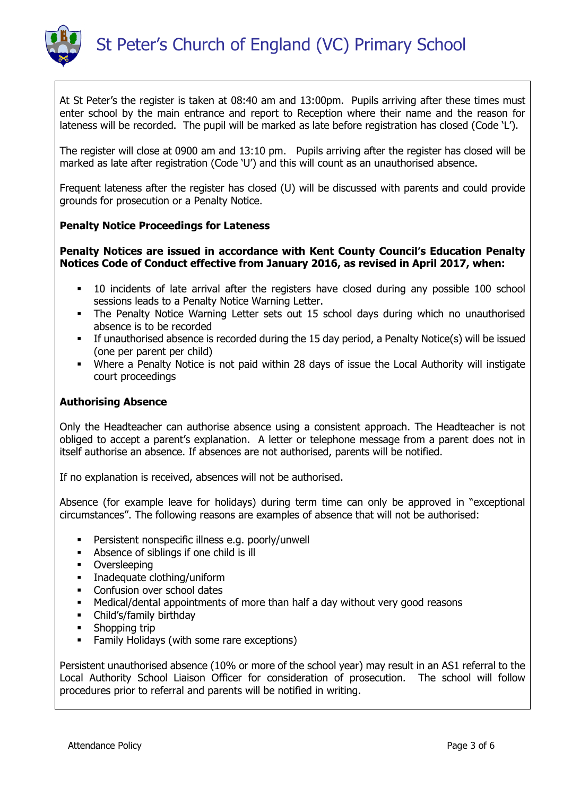

At St Peter's the register is taken at 08:40 am and 13:00pm. Pupils arriving after these times must enter school by the main entrance and report to Reception where their name and the reason for lateness will be recorded. The pupil will be marked as late before registration has closed (Code 'L').

The register will close at 0900 am and 13:10 pm. Pupils arriving after the register has closed will be marked as late after registration (Code 'U') and this will count as an unauthorised absence.

Frequent lateness after the register has closed (U) will be discussed with parents and could provide grounds for prosecution or a Penalty Notice.

## **Penalty Notice Proceedings for Lateness**

## **Penalty Notices are issued in accordance with Kent County Council's Education Penalty Notices Code of Conduct effective from January 2016, as revised in April 2017, when:**

- 10 incidents of late arrival after the registers have closed during any possible 100 school sessions leads to a Penalty Notice Warning Letter.
- The Penalty Notice Warning Letter sets out 15 school days during which no unauthorised absence is to be recorded
- If unauthorised absence is recorded during the 15 day period, a Penalty Notice(s) will be issued (one per parent per child)
- Where a Penalty Notice is not paid within 28 days of issue the Local Authority will instigate court proceedings

#### **Authorising Absence**

Only the Headteacher can authorise absence using a consistent approach. The Headteacher is not obliged to accept a parent's explanation. A letter or telephone message from a parent does not in itself authorise an absence. If absences are not authorised, parents will be notified.

If no explanation is received, absences will not be authorised.

Absence (for example leave for holidays) during term time can only be approved in "exceptional circumstances". The following reasons are examples of absence that will not be authorised:

- Persistent nonspecific illness e.g. poorly/unwell
- Absence of siblings if one child is ill
- **•** Oversleeping
- **Inadequate clothing/uniform**
- Confusion over school dates
- Medical/dental appointments of more than half a day without very good reasons
- Child's/family birthday
- Shopping trip
- Family Holidays (with some rare exceptions)

Persistent unauthorised absence (10% or more of the school year) may result in an AS1 referral to the Local Authority School Liaison Officer for consideration of prosecution. The school will follow procedures prior to referral and parents will be notified in writing.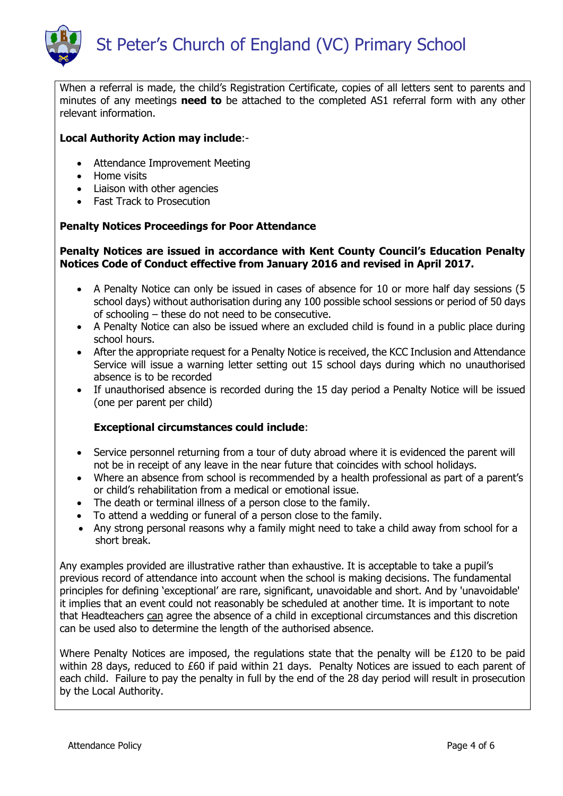

When a referral is made, the child's Registration Certificate, copies of all letters sent to parents and minutes of any meetings **need to** be attached to the completed AS1 referral form with any other relevant information.

## **Local Authority Action may include**:-

- Attendance Improvement Meeting
- Home visits
- Liaison with other agencies
- Fast Track to Prosecution

## **Penalty Notices Proceedings for Poor Attendance**

## **Penalty Notices are issued in accordance with Kent County Council's Education Penalty Notices Code of Conduct effective from January 2016 and revised in April 2017.**

- A Penalty Notice can only be issued in cases of absence for 10 or more half day sessions (5 school days) without authorisation during any 100 possible school sessions or period of 50 days of schooling – these do not need to be consecutive.
- A Penalty Notice can also be issued where an excluded child is found in a public place during school hours.
- After the appropriate request for a Penalty Notice is received, the KCC Inclusion and Attendance Service will issue a warning letter setting out 15 school days during which no unauthorised absence is to be recorded
- If unauthorised absence is recorded during the 15 day period a Penalty Notice will be issued (one per parent per child)

# **Exceptional circumstances could include**:

- Service personnel returning from a tour of duty abroad where it is evidenced the parent will not be in receipt of any leave in the near future that coincides with school holidays.
- Where an absence from school is recommended by a health professional as part of a parent's or child's rehabilitation from a medical or emotional issue.
- The death or terminal illness of a person close to the family.
- To attend a wedding or funeral of a person close to the family.
- Any strong personal reasons why a family might need to take a child away from school for a short break.

Any examples provided are illustrative rather than exhaustive. It is acceptable to take a pupil's previous record of attendance into account when the school is making decisions. The fundamental principles for defining 'exceptional' are rare, significant, unavoidable and short. And by 'unavoidable' it implies that an event could not reasonably be scheduled at another time. It is important to note that Headteachers can agree the absence of a child in exceptional circumstances and this discretion can be used also to determine the length of the authorised absence.

Where Penalty Notices are imposed, the regulations state that the penalty will be £120 to be paid within 28 days, reduced to £60 if paid within 21 days. Penalty Notices are issued to each parent of each child. Failure to pay the penalty in full by the end of the 28 day period will result in prosecution by the Local Authority.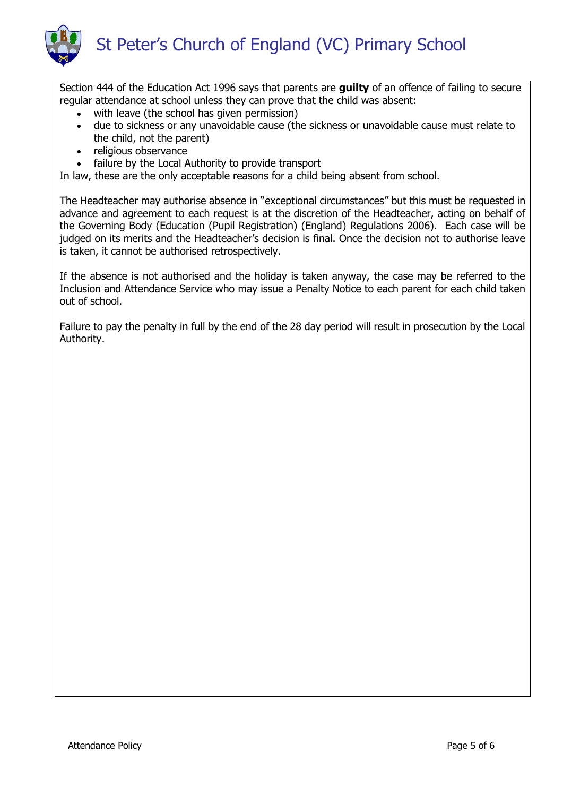

Section 444 of the Education Act 1996 says that parents are **guilty** of an offence of failing to secure regular attendance at school unless they can prove that the child was absent:

- with leave (the school has given permission)
- due to sickness or any unavoidable cause (the sickness or unavoidable cause must relate to the child, not the parent)
- religious observance
- failure by the Local Authority to provide transport

In law, these are the only acceptable reasons for a child being absent from school.

The Headteacher may authorise absence in "exceptional circumstances" but this must be requested in advance and agreement to each request is at the discretion of the Headteacher, acting on behalf of the Governing Body (Education (Pupil Registration) (England) Regulations 2006). Each case will be judged on its merits and the Headteacher's decision is final. Once the decision not to authorise leave is taken, it cannot be authorised retrospectively.

If the absence is not authorised and the holiday is taken anyway, the case may be referred to the Inclusion and Attendance Service who may issue a Penalty Notice to each parent for each child taken out of school.

Failure to pay the penalty in full by the end of the 28 day period will result in prosecution by the Local Authority.